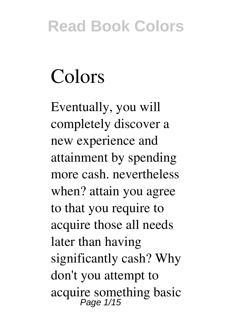# **Colors**

Eventually, you will completely discover a new experience and attainment by spending more cash. nevertheless when? attain you agree to that you require to acquire those all needs later than having significantly cash? Why don't you attempt to acquire something basic Page 1/15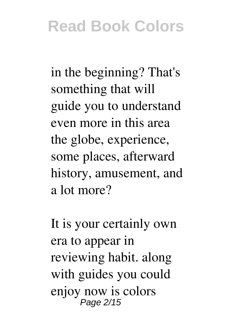in the beginning? That's something that will guide you to understand even more in this area the globe, experience, some places, afterward history, amusement, and a lot more?

It is your certainly own era to appear in reviewing habit. along with guides you could enjoy now is **colors** Page 2/15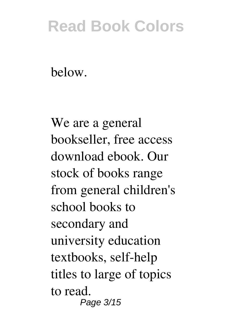below.

We are a general bookseller, free access download ebook. Our stock of books range from general children's school books to secondary and university education textbooks, self-help titles to large of topics to read. Page 3/15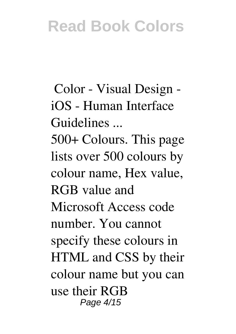**Color - Visual Design iOS - Human Interface Guidelines ...**

500+ Colours. This page lists over 500 colours by colour name, Hex value, RGB value and Microsoft Access code number. You cannot specify these colours in HTML and CSS by their colour name but you can use their RGB Page 4/15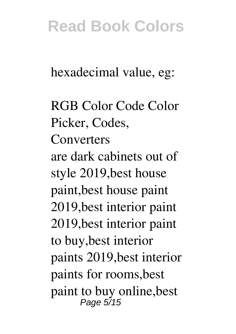hexadecimal value, eg:

**RGB Color Code Color Picker, Codes, Converters** are dark cabinets out of style 2019,best house paint,best house paint 2019,best interior paint 2019,best interior paint to buy,best interior paints 2019,best interior paints for rooms,best paint to buy online,best Page 5/15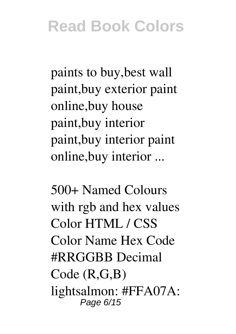paints to buy,best wall paint,buy exterior paint online,buy house paint,buy interior paint,buy interior paint online,buy interior ...

**500+ Named Colours with rgb and hex values** Color HTML / CSS Color Name Hex Code #RRGGBB Decimal Code (R,G,B) lightsalmon: #FFA07A: Page 6/15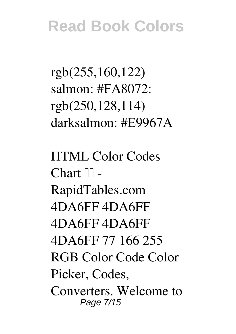rgb(255,160,122) salmon:  $#FAA072$ : rgb(250,128,114) darksalmon: #E9967A

**HTML Color Codes** Chart  $\mathbb{II}$  -**RapidTables.com** 4DA6FF 4DA6FF 4DA6FF 4DA6FF 4DA6FF 77 166 255 RGB Color Code Color Picker, Codes, Converters. Welcome to Page 7/15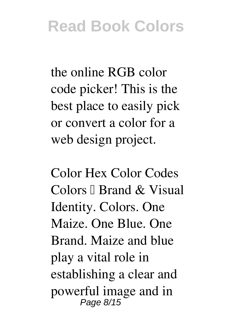the online RGB color code picker! This is the best place to easily pick or convert a color for a web design project.

**Color Hex Color Codes** Colors  $\mathbb I$  Brand & Visual Identity. Colors. One Maize. One Blue. One Brand. Maize and blue play a vital role in establishing a clear and powerful image and in Page 8/15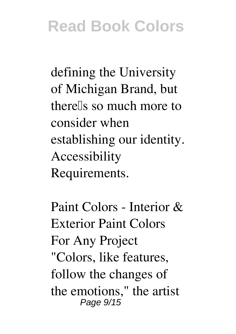defining the University of Michigan Brand, but there<sup>[1]</sup>s so much more to consider when establishing our identity. Accessibility Requirements.

**Paint Colors - Interior & Exterior Paint Colors For Any Project** "Colors, like features, follow the changes of the emotions," the artist Page 9/15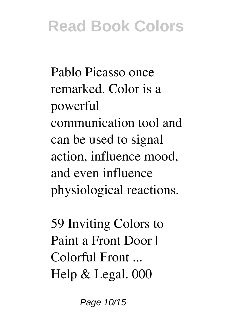Pablo Picasso once remarked. Color is a powerful communication tool and can be used to signal action, influence mood, and even influence physiological reactions.

**59 Inviting Colors to Paint a Front Door | Colorful Front ...** Help & Legal. 000

Page 10/15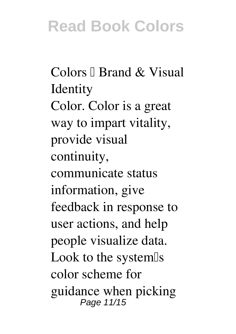Colors <sup>[]</sup> Brand & Visual **Identity** Color. Color is a great way to impart vitality, provide visual continuity, communicate status information, give feedback in response to user actions, and help people visualize data. Look to the system<sup>[]</sup>s color scheme for guidance when picking Page 11/15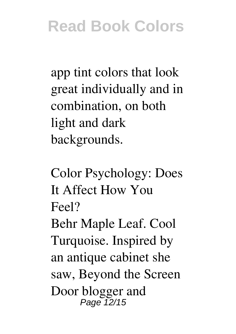app tint colors that look great individually and in combination, on both light and dark backgrounds.

**Color Psychology: Does It Affect How You Feel?** Behr Maple Leaf. Cool Turquoise. Inspired by an antique cabinet she saw, Beyond the Screen Door blogger and Page 12/15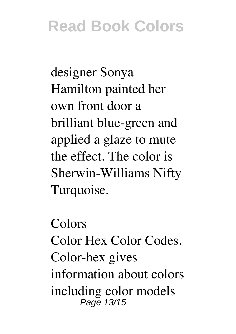designer Sonya Hamilton painted her own front door a brilliant blue-green and applied a glaze to mute the effect. The color is Sherwin-Williams Nifty Turquoise.

**Colors** Color Hex Color Codes. Color-hex gives information about colors including color models Page 13/15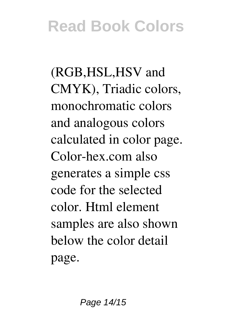(RGB,HSL,HSV and CMYK), Triadic colors, monochromatic colors and analogous colors calculated in color page. Color-hex.com also generates a simple css code for the selected color. Html element samples are also shown below the color detail page.